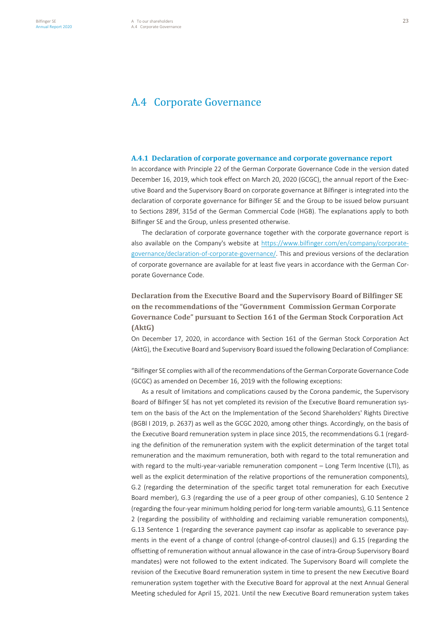# A.4 Corporate Governance

#### **A.4.1 Declaration of corporate governance and corporate governance report**

In accordance with Principle 22 of the German Corporate Governance Code in the version dated December 16, 2019, which took effect on March 20, 2020 (GCGC), the annual report of the Executive Board and the Supervisory Board on corporate governance at Bilfinger is integrated into the declaration of corporate governance for Bilfinger SE and the Group to be issued below pursuant to Sections 289f, 315d of the German Commercial Code (HGB). The explanations apply to both Bilfinger SE and the Group, unless presented otherwise.

The declaration of corporate governance together with the corporate governance report is also available on the Company's website at https://www.bilfinger.com/en/company/corporategovernance/declaration-of-corporate-governance/. This and previous versions of the declaration of corporate governance are available for at least five years in accordance with the German Corporate Governance Code.

# **Declaration from the Executive Board and the Supervisory Board of Bilfinger SE on the recommendations of the "Government Commission German Corporate Governance Code" pursuant to Section 161 of the German Stock Corporation Act (AktG)**

On December 17, 2020, in accordance with Section 161 of the German Stock Corporation Act (AktG), the Executive Board and Supervisory Board issued the following Declaration of Compliance:

"Bilfinger SE complies with all of the recommendations of the German Corporate Governance Code (GCGC) as amended on December 16, 2019 with the following exceptions:

As a result of limitations and complications caused by the Corona pandemic, the Supervisory Board of Bilfinger SE has not yet completed its revision of the Executive Board remuneration system on the basis of the Act on the Implementation of the Second Shareholders' Rights Directive (BGBl I 2019, p. 2637) as well as the GCGC 2020, among other things. Accordingly, on the basis of the Executive Board remuneration system in place since 2015, the recommendations G.1 (regarding the definition of the remuneration system with the explicit determination of the target total remuneration and the maximum remuneration, both with regard to the total remuneration and with regard to the multi-year-variable remuneration component – Long Term Incentive (LTI), as well as the explicit determination of the relative proportions of the remuneration components), G.2 (regarding the determination of the specific target total remuneration for each Executive Board member), G.3 (regarding the use of a peer group of other companies), G.10 Sentence 2 (regarding the four-year minimum holding period for long-term variable amounts), G.11 Sentence 2 (regarding the possibility of withholding and reclaiming variable remuneration components), G.13 Sentence 1 (regarding the severance payment cap insofar as applicable to severance payments in the event of a change of control (change-of-control clauses)) and G.15 (regarding the offsetting of remuneration without annual allowance in the case of intra-Group Supervisory Board mandates) were not followed to the extent indicated. The Supervisory Board will complete the revision of the Executive Board remuneration system in time to present the new Executive Board remuneration system together with the Executive Board for approval at the next Annual General Meeting scheduled for April 15, 2021. Until the new Executive Board remuneration system takes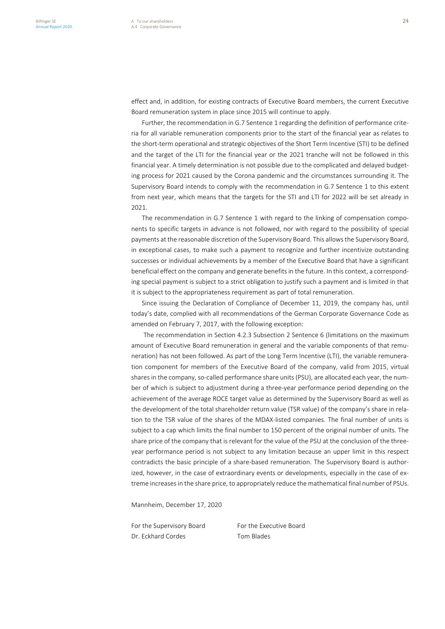effect and, in addition, for existing contracts of Executive Board members, the current Executive Board remuneration system in place since 2015 will continue to apply.

Further, the recommendation in G.7 Sentence 1 regarding the definition of performance criteria for all variable remuneration components prior to the start of the financial year as relates to the short-term operational and strategic objectives of the Short Term Incentive (STI) to be defined and the target of the LTI for the financial year or the 2021 tranche will not be followed in this financial year. A timely determination is not possible due to the complicated and delayed budgeting process for 2021 caused by the Corona pandemic and the circumstances surrounding it. The Supervisory Board intends to comply with the recommendation in G.7 Sentence 1 to this extent from next year, which means that the targets for the STI and LTI for 2022 will be set already in 2021.

The recommendation in G.7 Sentence 1 with regard to the linking of compensation components to specific targets in advance is not followed, nor with regard to the possibility of special payments at the reasonable discretion of the Supervisory Board. This allows the Supervisory Board, in exceptional cases, to make such a payment to recognize and further incentivize outstanding successes or individual achievements by a member of the Executive Board that have a significant beneficial effect on the company and generate benefits in the future. In this context, a corresponding special payment is subject to a strict obligation to justify such a payment and is limited in that it is subject to the appropriateness requirement as part of total remuneration.

Since issuing the Declaration of Compliance of December 11, 2019, the company has, until today's date, complied with all recommendations of the German Corporate Governance Code as amended on February 7, 2017, with the following exception:

The recommendation in Section 4.2.3 Subsection 2 Sentence 6 (limitations on the maximum amount of Executive Board remuneration in general and the variable components of that remuneration) has not been followed. As part of the Long Term Incentive (LTI), the variable remuneration component for members of the Executive Board of the company, valid from 2015, virtual shares in the company, so-called performance share units (PSU), are allocated each year, the number of which is subject to adjustment during a three-year performance period depending on the achievement of the average ROCE target value as determined by the Supervisory Board as well as the development of the total shareholder return value (TSR value) of the company's share in relation to the TSR value of the shares of the MDAX-listed companies. The final number of units is subject to a cap which limits the final number to 150 percent of the original number of units. The share price of the company that is relevant for the value of the PSU at the conclusion of the threeyear performance period is not subject to any limitation because an upper limit in this respect contradicts the basic principle of a share-based remuneration. The Supervisory Board is authorized, however, in the case of extraordinary events or developments, especially in the case of extreme increases in the share price, to appropriately reduce the mathematical final number of PSUs.

Mannheim, December 17, 2020

For the Supervisory Board For the Executive Board Dr. Eckhard Cordes Tom Blades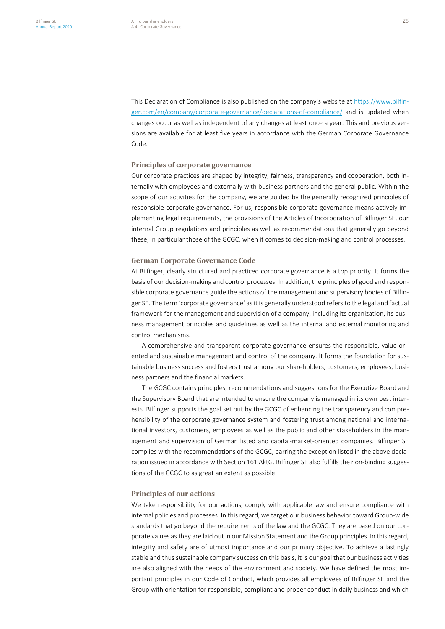This Declaration of Compliance is also published on the company's website at https://www.bilfinger.com/en/company/corporate-governance/declarations-of-compliance/ and is updated when changes occur as well as independent of any changes at least once a year. This and previous versions are available for at least five years in accordance with the German Corporate Governance Code.

#### **Principles of corporate governance**

Our corporate practices are shaped by integrity, fairness, transparency and cooperation, both internally with employees and externally with business partners and the general public. Within the scope of our activities for the company, we are guided by the generally recognized principles of responsible corporate governance. For us, responsible corporate governance means actively implementing legal requirements, the provisions of the Articles of Incorporation of Bilfinger SE, our internal Group regulations and principles as well as recommendations that generally go beyond these, in particular those of the GCGC, when it comes to decision-making and control processes.

#### **German Corporate Governance Code**

At Bilfinger, clearly structured and practiced corporate governance is a top priority. It forms the basis of our decision-making and control processes. In addition, the principles of good and responsible corporate governance guide the actions of the management and supervisory bodies of Bilfinger SE. The term 'corporate governance' as it is generally understood refers to the legal and factual framework for the management and supervision of a company, including its organization, its business management principles and guidelines as well as the internal and external monitoring and control mechanisms.

A comprehensive and transparent corporate governance ensures the responsible, value-oriented and sustainable management and control of the company. It forms the foundation for sustainable business success and fosters trust among our shareholders, customers, employees, business partners and the financial markets.

The GCGC contains principles, recommendations and suggestions for the Executive Board and the Supervisory Board that are intended to ensure the company is managed in its own best interests. Bilfinger supports the goal set out by the GCGC of enhancing the transparency and comprehensibility of the corporate governance system and fostering trust among national and international investors, customers, employees as well as the public and other stakeholders in the management and supervision of German listed and capital-market-oriented companies. Bilfinger SE complies with the recommendations of the GCGC, barring the exception listed in the above declaration issued in accordance with Section 161 AktG. Bilfinger SE also fulfills the non-binding suggestions of the GCGC to as great an extent as possible.

#### **Principles of our actions**

We take responsibility for our actions, comply with applicable law and ensure compliance with internal policies and processes. In this regard, we target our business behavior toward Group-wide standards that go beyond the requirements of the law and the GCGC. They are based on our corporate values as they are laid out in our Mission Statement and the Group principles. In this regard, integrity and safety are of utmost importance and our primary objective. To achieve a lastingly stable and thus sustainable company success on this basis, it is our goal that our business activities are also aligned with the needs of the environment and society. We have defined the most important principles in our Code of Conduct, which provides all employees of Bilfinger SE and the Group with orientation for responsible, compliant and proper conduct in daily business and which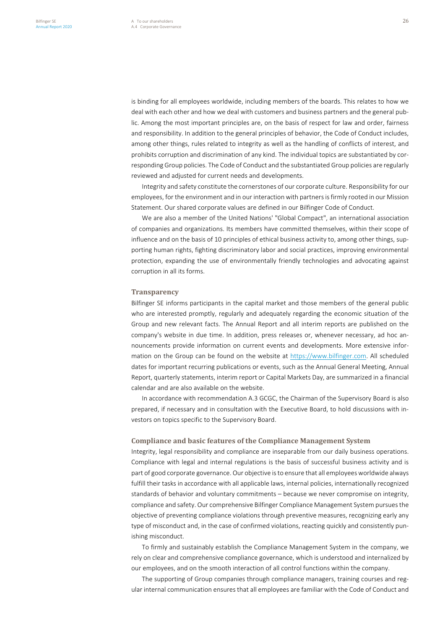is binding for all employees worldwide, including members of the boards. This relates to how we deal with each other and how we deal with customers and business partners and the general public. Among the most important principles are, on the basis of respect for law and order, fairness and responsibility. In addition to the general principles of behavior, the Code of Conduct includes, among other things, rules related to integrity as well as the handling of conflicts of interest, and prohibits corruption and discrimination of any kind. The individual topics are substantiated by corresponding Group policies. The Code of Conduct and the substantiated Group policies are regularly reviewed and adjusted for current needs and developments.

Integrity and safety constitute the cornerstones of our corporate culture. Responsibility for our employees, for the environment and in our interaction with partners is firmly rooted in our Mission Statement. Our shared corporate values are defined in our Bilfinger Code of Conduct.

We are also a member of the United Nations' "Global Compact", an international association of companies and organizations. Its members have committed themselves, within their scope of influence and on the basis of 10 principles of ethical business activity to, among other things, supporting human rights, fighting discriminatory labor and social practices, improving environmental protection, expanding the use of environmentally friendly technologies and advocating against corruption in all its forms.

#### **Transparency**

Bilfinger SE informs participants in the capital market and those members of the general public who are interested promptly, regularly and adequately regarding the economic situation of the Group and new relevant facts. The Annual Report and all interim reports are published on the company's website in due time. In addition, press releases or, whenever necessary, ad hoc announcements provide information on current events and developments. More extensive information on the Group can be found on the website at https://www.bilfinger.com. All scheduled dates for important recurring publications or events, such as the Annual General Meeting, Annual Report, quarterly statements, interim report or Capital Markets Day, are summarized in a financial calendar and are also available on the website.

In accordance with recommendation A.3 GCGC, the Chairman of the Supervisory Board is also prepared, if necessary and in consultation with the Executive Board, to hold discussions with investors on topics specific to the Supervisory Board.

#### **Compliance and basic features of the Compliance Management System**

Integrity, legal responsibility and compliance are inseparable from our daily business operations. Compliance with legal and internal regulations is the basis of successful business activity and is part of good corporate governance. Our objective is to ensure that all employees worldwide always fulfill their tasks in accordance with all applicable laws, internal policies, internationally recognized standards of behavior and voluntary commitments – because we never compromise on integrity, compliance and safety. Our comprehensive Bilfinger Compliance Management System pursues the objective of preventing compliance violations through preventive measures, recognizing early any type of misconduct and, in the case of confirmed violations, reacting quickly and consistently punishing misconduct.

To firmly and sustainably establish the Compliance Management System in the company, we rely on clear and comprehensive compliance governance, which is understood and internalized by our employees, and on the smooth interaction of all control functions within the company.

The supporting of Group companies through compliance managers, training courses and regular internal communication ensures that all employees are familiar with the Code of Conduct and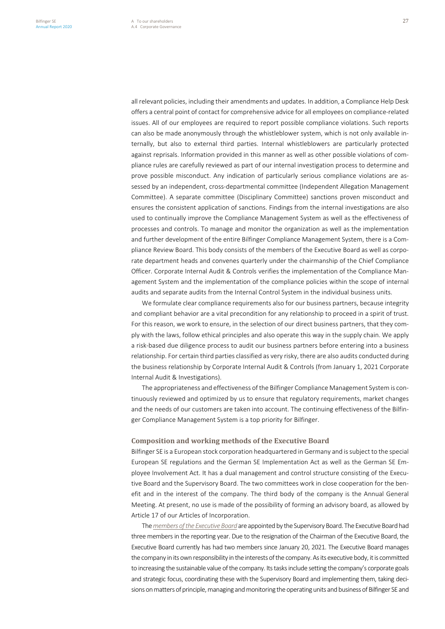all relevant policies, including their amendments and updates. In addition, a Compliance Help Desk offers a central point of contact for comprehensive advice for all employees on compliance-related issues. All of our employees are required to report possible compliance violations. Such reports can also be made anonymously through the whistleblower system, which is not only available internally, but also to external third parties. Internal whistleblowers are particularly protected against reprisals. Information provided in this manner as well as other possible violations of compliance rules are carefully reviewed as part of our internal investigation process to determine and prove possible misconduct. Any indication of particularly serious compliance violations are assessed by an independent, cross-departmental committee (Independent Allegation Management Committee). A separate committee (Disciplinary Committee) sanctions proven misconduct and ensures the consistent application of sanctions. Findings from the internal investigations are also used to continually improve the Compliance Management System as well as the effectiveness of processes and controls. To manage and monitor the organization as well as the implementation and further development of the entire Bilfinger Compliance Management System, there is a Compliance Review Board. This body consists of the members of the Executive Board as well as corporate department heads and convenes quarterly under the chairmanship of the Chief Compliance Officer. Corporate Internal Audit & Controls verifies the implementation of the Compliance Management System and the implementation of the compliance policies within the scope of internal audits and separate audits from the Internal Control System in the individual business units.

We formulate clear compliance requirements also for our business partners, because integrity and compliant behavior are a vital precondition for any relationship to proceed in a spirit of trust. For this reason, we work to ensure, in the selection of our direct business partners, that they comply with the laws, follow ethical principles and also operate this way in the supply chain. We apply a risk-based due diligence process to audit our business partners before entering into a business relationship. For certain third parties classified as very risky, there are also audits conducted during the business relationship by Corporate Internal Audit & Controls (from January 1, 2021 Corporate Internal Audit & Investigations).

The appropriateness and effectiveness of the Bilfinger Compliance Management System is continuously reviewed and optimized by us to ensure that regulatory requirements, market changes and the needs of our customers are taken into account. The continuing effectiveness of the Bilfinger Compliance Management System is a top priority for Bilfinger.

#### **Composition and working methods of the Executive Board**

Bilfinger SE is a European stock corporation headquartered in Germany and is subject to the special European SE regulations and the German SE Implementation Act as well as the German SE Employee Involvement Act. It has a dual management and control structure consisting of the Executive Board and the Supervisory Board. The two committees work in close cooperation for the benefit and in the interest of the company. The third body of the company is the Annual General Meeting. At present, no use is made of the possibility of forming an advisory board, as allowed by Article 17 of our Articles of Incorporation.

The *members of the Executive Board* are appointed by the Supervisory Board. The Executive Board had three members in the reporting year. Due to the resignation of the Chairman of the Executive Board, the Executive Board currently has had two members since January 20, 2021. The Executive Board manages the company in its own responsibility in the interests of the company. As its executive body, it is committed to increasing the sustainable value of the company. Its tasks include setting the company's corporate goals and strategic focus, coordinating these with the Supervisory Board and implementing them, taking decisions on matters of principle, managing and monitoring the operating units and business of Bilfinger SE and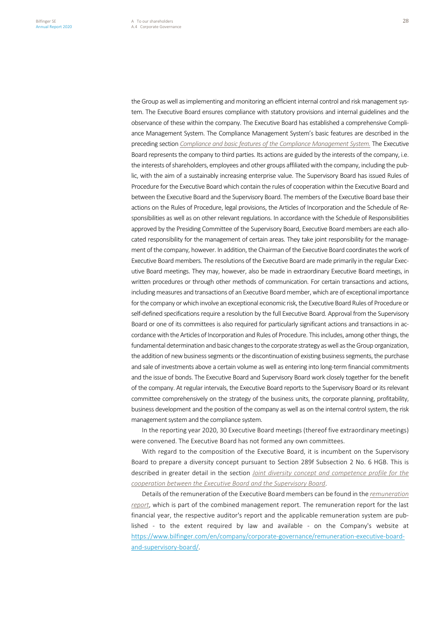the Group as well as implementing and monitoring an efficient internal control and risk management system. The Executive Board ensures compliance with statutory provisions and internal guidelines and the observance of these within the company. The Executive Board has established a comprehensive Compliance Management System. The Compliance Management System's basic features are described in the preceding section *Compliance and basic features of the Compliance Management System.* The Executive Board represents the company to third parties. Its actions are guided by the interests of the company, i.e. the interests of shareholders, employees and other groups affiliated with the company, including the public, with the aim of a sustainably increasing enterprise value. The Supervisory Board has issued Rules of Procedure for the Executive Board which contain the rules of cooperation within the Executive Board and between the Executive Board and the Supervisory Board. The members of the Executive Board base their actions on the Rules of Procedure, legal provisions, the Articles of Incorporation and the Schedule of Responsibilities as well as on other relevant regulations. In accordance with the Schedule of Responsibilities approved by the Presiding Committee of the Supervisory Board, Executive Board members are each allocated responsibility for the management of certain areas. They take joint responsibility for the management of the company, however. In addition, the Chairman of the Executive Board coordinates the work of Executive Board members. The resolutions of the Executive Board are made primarily in the regular Executive Board meetings. They may, however, also be made in extraordinary Executive Board meetings, in written procedures or through other methods of communication. For certain transactions and actions, including measures and transactions of an Executive Board member, which are of exceptional importance for the company or which involve an exceptional economic risk, the Executive Board Rules of Procedure or self-defined specifications require a resolution by the full Executive Board. Approval from the Supervisory Board or one of its committees is also required for particularly significant actions and transactions in accordance with the Articles of Incorporation and Rules of Procedure. This includes, among other things, the fundamental determination and basic changes to the corporate strategy as well as the Group organization, the addition of new business segments or the discontinuation of existing business segments, the purchase and sale of investments above a certain volume as well as entering into long-term financial commitments and the issue of bonds. The Executive Board and Supervisory Board work closely together for the benefit of the company. At regular intervals, the Executive Board reports to the Supervisory Board or its relevant committee comprehensively on the strategy of the business units, the corporate planning, profitability, business development and the position of the company as well as on the internal control system, the risk management system and the compliance system.

In the reporting year 2020, 30 Executive Board meetings (thereof five extraordinary meetings) were convened. The Executive Board has not formed any own committees.

With regard to the composition of the Executive Board, it is incumbent on the Supervisory Board to prepare a diversity concept pursuant to Section 289f Subsection 2 No. 6 HGB. This is described in greater detail in the section *Joint diversity concept and competence profile for the cooperation between the Executive Board and the Supervisory Board*.

Details of the remuneration of the Executive Board members can be found in the *remuneration report*, which is part of the combined management report. The remuneration report for the last financial year, the respective auditor's report and the applicable remuneration system are published - to the extent required by law and available - on the Company's website at https://www.bilfinger.com/en/company/corporate-governance/remuneration-executive-boardand-supervisory-board/.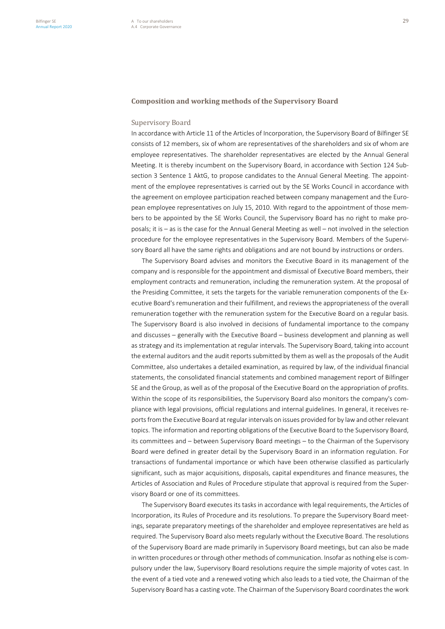#### **Composition and working methods of the Supervisory Board**

#### Supervisory Board

In accordance with Article 11 of the Articles of Incorporation, the Supervisory Board of Bilfinger SE consists of 12 members, six of whom are representatives of the shareholders and six of whom are employee representatives. The shareholder representatives are elected by the Annual General Meeting. It is thereby incumbent on the Supervisory Board, in accordance with Section 124 Subsection 3 Sentence 1 AktG, to propose candidates to the Annual General Meeting. The appointment of the employee representatives is carried out by the SE Works Council in accordance with the agreement on employee participation reached between company management and the European employee representatives on July 15, 2010. With regard to the appointment of those members to be appointed by the SE Works Council, the Supervisory Board has no right to make proposals; it is – as is the case for the Annual General Meeting as well – not involved in the selection procedure for the employee representatives in the Supervisory Board. Members of the Supervisory Board all have the same rights and obligations and are not bound by instructions or orders.

The Supervisory Board advises and monitors the Executive Board in its management of the company and is responsible for the appointment and dismissal of Executive Board members, their employment contracts and remuneration, including the remuneration system. At the proposal of the Presiding Committee, it sets the targets for the variable remuneration components of the Executive Board's remuneration and their fulfillment, and reviews the appropriateness of the overall remuneration together with the remuneration system for the Executive Board on a regular basis. The Supervisory Board is also involved in decisions of fundamental importance to the company and discusses – generally with the Executive Board – business development and planning as well as strategy and its implementation at regular intervals. The Supervisory Board, taking into account the external auditors and the audit reports submitted by them as well as the proposals of the Audit Committee, also undertakes a detailed examination, as required by law, of the individual financial statements, the consolidated financial statements and combined management report of Bilfinger SE and the Group, as well as of the proposal of the Executive Board on the appropriation of profits. Within the scope of its responsibilities, the Supervisory Board also monitors the company's compliance with legal provisions, official regulations and internal guidelines. In general, it receives reports from the Executive Board at regular intervals on issues provided for by law and other relevant topics. The information and reporting obligations of the Executive Board to the Supervisory Board, its committees and – between Supervisory Board meetings – to the Chairman of the Supervisory Board were defined in greater detail by the Supervisory Board in an information regulation. For transactions of fundamental importance or which have been otherwise classified as particularly significant, such as major acquisitions, disposals, capital expenditures and finance measures, the Articles of Association and Rules of Procedure stipulate that approval is required from the Supervisory Board or one of its committees.

The Supervisory Board executes its tasks in accordance with legal requirements, the Articles of Incorporation, its Rules of Procedure and its resolutions. To prepare the Supervisory Board meetings, separate preparatory meetings of the shareholder and employee representatives are held as required. The Supervisory Board also meets regularly without the Executive Board. The resolutions of the Supervisory Board are made primarily in Supervisory Board meetings, but can also be made in written procedures or through other methods of communication. Insofar as nothing else is compulsory under the law, Supervisory Board resolutions require the simple majority of votes cast. In the event of a tied vote and a renewed voting which also leads to a tied vote, the Chairman of the Supervisory Board has a casting vote. The Chairman of the Supervisory Board coordinates the work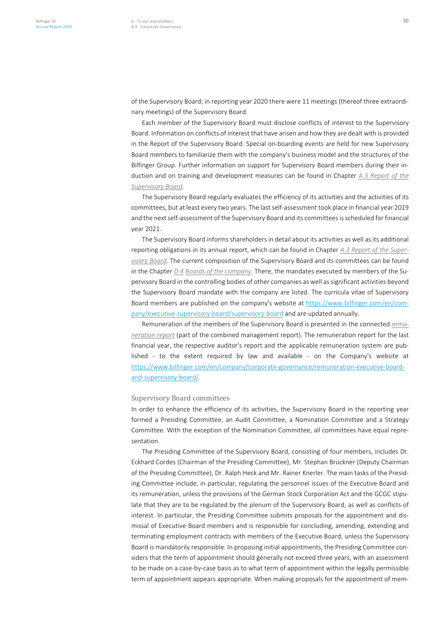of the Supervisory Board; in reporting year 2020 there were 11 meetings (thereof three extraordinary meetings) of the Supervisory Board.

Each member of the Supervisory Board must disclose conflicts of interest to the Supervisory Board. Information on conflicts of interest that have arisen and how they are dealt with is provided in the Report of the Supervisory Board. Special on-boarding events are held for new Supervisory Board members to familiarize them with the company's business model and the structures of the Bilfinger Group. Further information on support for Supervisory Board members during their induction and on training and development measures can be found in Chapter *A.3 Report of the Supervisory Board*.

The Supervisory Board regularly evaluates the efficiency of its activities and the activities of its committees, but at least every two years. The last self-assessment took place in financial year 2019 and the next self-assessment of the Supervisory Board and its committees is scheduled for financial year 2021.

The Supervisory Board informs shareholders in detail about its activities as well as its additional reporting obligations in its annual report, which can be found in Chapter *A.3 Report of the Supervisory Board*. The current composition of the Supervisory Board and its committees can be found in the Chapter *D.4 Boards of the company*. There, the mandates executed by members of the Supervisory Board in the controlling bodies of other companies as well as significant activities beyond the Supervisory Board mandate with the company are listed. The curricula vitae of Supervisory Board members are published on the company's website at https://www.bilfinger.com/en/company/executive-supervisory-board/supervisory-board and are updated annually.

Remuneration of the members of the Supervisory Board is presented in the connected *remuneration report* (part of the combined management report). The remuneration report for the last financial year, the respective auditor's report and the applicable remuneration system are published - to the extent required by law and available - on the Company's website at https://www.bilfinger.com/en/company/corporate-governance/remuneration-executive-boardand-supervisory-board/.

#### Supervisory Board committees

In order to enhance the efficiency of its activities, the Supervisory Board in the reporting year formed a Presiding Committee, an Audit Committee, a Nomination Committee and a Strategy Committee. With the exception of the Nomination Committee, all committees have equal representation.

The Presiding Committee of the Supervisory Board, consisting of four members, includes Dr. Eckhard Cordes (Chairman of the Presiding Committee), Mr. Stephan Brückner (Deputy Chairman of the Presiding Committee), Dr. Ralph Heck and Mr. Rainer Knerler. The main tasks of the Presiding Committee include, in particular, regulating the personnel issues of the Executive Board and its remuneration, unless the provisions of the German Stock Corporation Act and the GCGC stipulate that they are to be regulated by the plenum of the Supervisory Board, as well as conflicts of interest. In particular, the Presiding Committee submits proposals for the appointment and dismissal of Executive Board members and is responsible for concluding, amending, extending and terminating employment contracts with members of the Executive Board, unless the Supervisory Board is mandatorily responsible. In proposing initial appointments, the Presiding Committee considers that the term of appointment should generally not exceed three years, with an assessment to be made on a case-by-case basis as to what term of appointment within the legally permissible term of appointment appears appropriate. When making proposals for the appointment of mem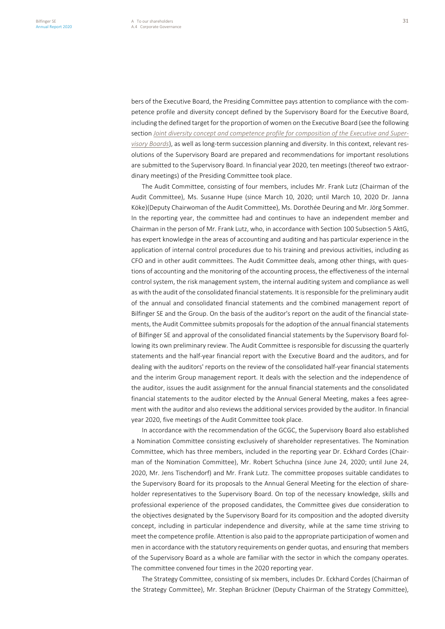bers of the Executive Board, the Presiding Committee pays attention to compliance with the competence profile and diversity concept defined by the Supervisory Board for the Executive Board, including the defined target for the proportion of women on the Executive Board (see the following section *Joint diversity concept and competence profile for composition of the Executive and Supervisory Boards*), as well as long-term succession planning and diversity. In this context, relevant resolutions of the Supervisory Board are prepared and recommendations for important resolutions are submitted to the Supervisory Board. In financial year 2020, ten meetings (thereof two extraordinary meetings) of the Presiding Committee took place.

The Audit Committee, consisting of four members, includes Mr. Frank Lutz (Chairman of the Audit Committee), Ms. Susanne Hupe (since March 10, 2020; until March 10, 2020 Dr. Janna Köke)(Deputy Chairwoman of the Audit Committee), Ms. Dorothée Deuring and Mr. Jörg Sommer. In the reporting year, the committee had and continues to have an independent member and Chairman in the person of Mr. Frank Lutz, who, in accordance with Section 100 Subsection 5 AktG, has expert knowledge in the areas of accounting and auditing and has particular experience in the application of internal control procedures due to his training and previous activities, including as CFO and in other audit committees. The Audit Committee deals, among other things, with questions of accounting and the monitoring of the accounting process, the effectiveness of the internal control system, the risk management system, the internal auditing system and compliance as well as with the audit of the consolidated financial statements. It is responsible for the preliminary audit of the annual and consolidated financial statements and the combined management report of Bilfinger SE and the Group. On the basis of the auditor's report on the audit of the financial statements, the Audit Committee submits proposalsfor the adoption of the annual financial statements of Bilfinger SE and approval of the consolidated financial statements by the Supervisory Board following its own preliminary review. The Audit Committee is responsible for discussing the quarterly statements and the half-year financial report with the Executive Board and the auditors, and for dealing with the auditors' reports on the review of the consolidated half-year financial statements and the interim Group management report. It deals with the selection and the independence of the auditor, issues the audit assignment for the annual financial statements and the consolidated financial statements to the auditor elected by the Annual General Meeting, makes a fees agreement with the auditor and also reviews the additional services provided by the auditor. In financial year 2020, five meetings of the Audit Committee took place.

In accordance with the recommendation of the GCGC, the Supervisory Board also established a Nomination Committee consisting exclusively of shareholder representatives. The Nomination Committee, which has three members, included in the reporting year Dr. Eckhard Cordes (Chairman of the Nomination Committee), Mr. Robert Schuchna (since June 24, 2020; until June 24, 2020, Mr. Jens Tischendorf) and Mr. Frank Lutz. The committee proposes suitable candidates to the Supervisory Board for its proposals to the Annual General Meeting for the election of shareholder representatives to the Supervisory Board. On top of the necessary knowledge, skills and professional experience of the proposed candidates, the Committee gives due consideration to the objectives designated by the Supervisory Board for its composition and the adopted diversity concept, including in particular independence and diversity, while at the same time striving to meet the competence profile. Attention is also paid to the appropriate participation of women and men in accordance with the statutory requirements on gender quotas, and ensuring that members of the Supervisory Board as a whole are familiar with the sector in which the company operates. The committee convened four times in the 2020 reporting year.

The Strategy Committee, consisting of six members, includes Dr. Eckhard Cordes (Chairman of the Strategy Committee), Mr. Stephan Brückner (Deputy Chairman of the Strategy Committee),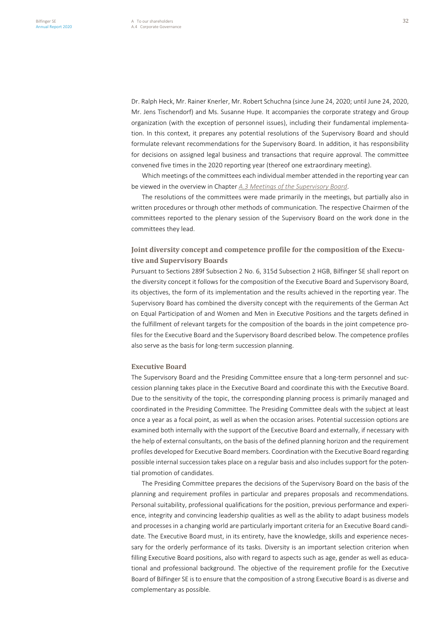Dr. Ralph Heck, Mr. Rainer Knerler, Mr. Robert Schuchna (since June 24, 2020; until June 24, 2020, Mr. Jens Tischendorf) and Ms. Susanne Hupe. It accompanies the corporate strategy and Group organization (with the exception of personnel issues), including their fundamental implementation. In this context, it prepares any potential resolutions of the Supervisory Board and should formulate relevant recommendations for the Supervisory Board. In addition, it has responsibility for decisions on assigned legal business and transactions that require approval. The committee convened five times in the 2020 reporting year (thereof one extraordinary meeting).

Which meetings of the committees each individual member attended in the reporting year can be viewed in the overview in Chapter *A.3 Meetings of the Supervisory Board*.

The resolutions of the committees were made primarily in the meetings, but partially also in written procedures or through other methods of communication. The respective Chairmen of the committees reported to the plenary session of the Supervisory Board on the work done in the committees they lead.

### **Joint diversity concept and competence profile for the composition of the Executive and Supervisory Boards**

Pursuant to Sections 289f Subsection 2 No. 6, 315d Subsection 2 HGB, Bilfinger SE shall report on the diversity concept it follows for the composition of the Executive Board and Supervisory Board, its objectives, the form of its implementation and the results achieved in the reporting year. The Supervisory Board has combined the diversity concept with the requirements of the German Act on Equal Participation of and Women and Men in Executive Positions and the targets defined in the fulfillment of relevant targets for the composition of the boards in the joint competence profiles for the Executive Board and the Supervisory Board described below. The competence profiles also serve as the basis for long-term succession planning.

#### **Executive Board**

The Supervisory Board and the Presiding Committee ensure that a long-term personnel and succession planning takes place in the Executive Board and coordinate this with the Executive Board. Due to the sensitivity of the topic, the corresponding planning process is primarily managed and coordinated in the Presiding Committee. The Presiding Committee deals with the subject at least once a year as a focal point, as well as when the occasion arises. Potential succession options are examined both internally with the support of the Executive Board and externally, if necessary with the help of external consultants, on the basis of the defined planning horizon and the requirement profiles developed for Executive Board members. Coordination with the Executive Board regarding possible internal succession takes place on a regular basis and also includes support for the potential promotion of candidates.

The Presiding Committee prepares the decisions of the Supervisory Board on the basis of the planning and requirement profiles in particular and prepares proposals and recommendations. Personal suitability, professional qualifications for the position, previous performance and experience, integrity and convincing leadership qualities as well as the ability to adapt business models and processes in a changing world are particularly important criteria for an Executive Board candidate. The Executive Board must, in its entirety, have the knowledge, skills and experience necessary for the orderly performance of its tasks. Diversity is an important selection criterion when filling Executive Board positions, also with regard to aspects such as age, gender as well as educational and professional background. The objective of the requirement profile for the Executive Board of Bilfinger SE is to ensure that the composition of a strong Executive Board is as diverse and complementary as possible.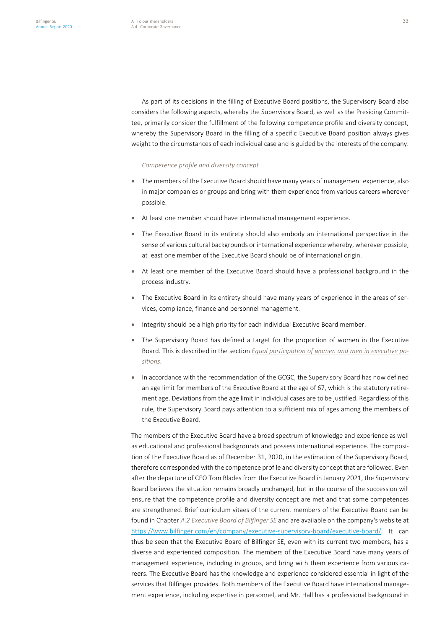As part of its decisions in the filling of Executive Board positions, the Supervisory Board also considers the following aspects, whereby the Supervisory Board, as well as the Presiding Committee, primarily consider the fulfillment of the following competence profile and diversity concept, whereby the Supervisory Board in the filling of a specific Executive Board position always gives weight to the circumstances of each individual case and is guided by the interests of the company.

#### *Competence profile and diversity concept*

- The members of the Executive Board should have many years of management experience, also in major companies or groups and bring with them experience from various careers wherever possible.
- At least one member should have international management experience.
- The Executive Board in its entirety should also embody an international perspective in the sense of various cultural backgrounds or international experience whereby, wherever possible, at least one member of the Executive Board should be of international origin.
- At least one member of the Executive Board should have a professional background in the process industry.
- The Executive Board in its entirety should have many years of experience in the areas of services, compliance, finance and personnel management.
- Integrity should be a high priority for each individual Executive Board member.
- The Supervisory Board has defined a target for the proportion of women in the Executive Board. This is described in the section *Equal participation of women and men in executive positions*.
- In accordance with the recommendation of the GCGC, the Supervisory Board has now defined an age limit for members of the Executive Board at the age of 67, which is the statutory retirement age. Deviations from the age limit in individual cases are to be justified. Regardless of this rule, the Supervisory Board pays attention to a sufficient mix of ages among the members of the Executive Board.

The members of the Executive Board have a broad spectrum of knowledge and experience as well as educational and professional backgrounds and possess international experience. The composition of the Executive Board as of December 31, 2020, in the estimation of the Supervisory Board, therefore corresponded with the competence profile and diversity concept that are followed. Even after the departure of CEO Tom Blades from the Executive Board in January 2021, the Supervisory Board believes the situation remains broadly unchanged, but in the course of the succession will ensure that the competence profile and diversity concept are met and that some competences are strengthened. Brief curriculum vitaes of the current members of the Executive Board can be found in Chapter *A.2 Executive Board of Bilfinger SE* and are available on the company's website at https://www.bilfinger.com/en/company/executive-supervisory-board/executive-board/. It can thus be seen that the Executive Board of Bilfinger SE, even with its current two members, has a diverse and experienced composition. The members of the Executive Board have many years of management experience, including in groups, and bring with them experience from various careers. The Executive Board has the knowledge and experience considered essential in light of the services that Bilfinger provides. Both members of the Executive Board have international management experience, including expertise in personnel, and Mr. Hall has a professional background in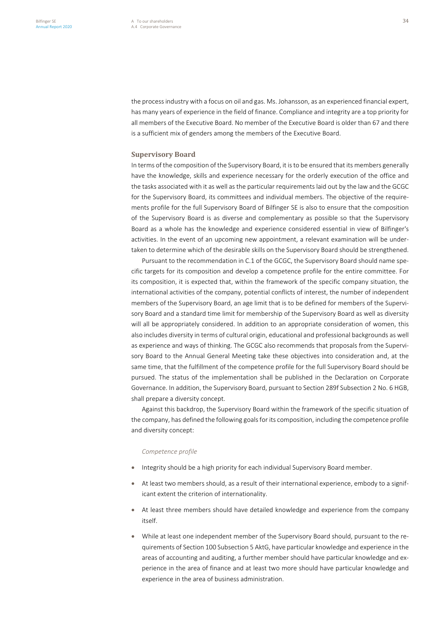the process industry with a focus on oil and gas. Ms. Johansson, as an experienced financial expert, has many years of experience in the field of finance. Compliance and integrity are a top priority for all members of the Executive Board. No member of the Executive Board is older than 67 and there is a sufficient mix of genders among the members of the Executive Board.

#### **Supervisory Board**

In terms of the composition of the Supervisory Board, it is to be ensured that its members generally have the knowledge, skills and experience necessary for the orderly execution of the office and the tasks associated with it as well as the particular requirements laid out by the law and the GCGC for the Supervisory Board, its committees and individual members. The objective of the requirements profile for the full Supervisory Board of Bilfinger SE is also to ensure that the composition of the Supervisory Board is as diverse and complementary as possible so that the Supervisory Board as a whole has the knowledge and experience considered essential in view of Bilfinger's activities. In the event of an upcoming new appointment, a relevant examination will be undertaken to determine which of the desirable skills on the Supervisory Board should be strengthened.

Pursuant to the recommendation in C.1 of the GCGC, the Supervisory Board should name specific targets for its composition and develop a competence profile for the entire committee. For its composition, it is expected that, within the framework of the specific company situation, the international activities of the company, potential conflicts of interest, the number of independent members of the Supervisory Board, an age limit that is to be defined for members of the Supervisory Board and a standard time limit for membership of the Supervisory Board as well as diversity will all be appropriately considered. In addition to an appropriate consideration of women, this also includes diversity in terms of cultural origin, educational and professional backgrounds as well as experience and ways of thinking. The GCGC also recommends that proposals from the Supervisory Board to the Annual General Meeting take these objectives into consideration and, at the same time, that the fulfillment of the competence profile for the full Supervisory Board should be pursued. The status of the implementation shall be published in the Declaration on Corporate Governance. In addition, the Supervisory Board, pursuant to Section 289f Subsection 2 No. 6 HGB, shall prepare a diversity concept.

Against this backdrop, the Supervisory Board within the framework of the specific situation of the company, has defined the following goals for its composition, including the competence profile and diversity concept:

#### *Competence profile*

- Integrity should be a high priority for each individual Supervisory Board member.
- At least two members should, as a result of their international experience, embody to a significant extent the criterion of internationality.
- At least three members should have detailed knowledge and experience from the company itself.
- While at least one independent member of the Supervisory Board should, pursuant to the requirements of Section 100 Subsection 5 AktG, have particular knowledge and experience in the areas of accounting and auditing, a further member should have particular knowledge and experience in the area of finance and at least two more should have particular knowledge and experience in the area of business administration.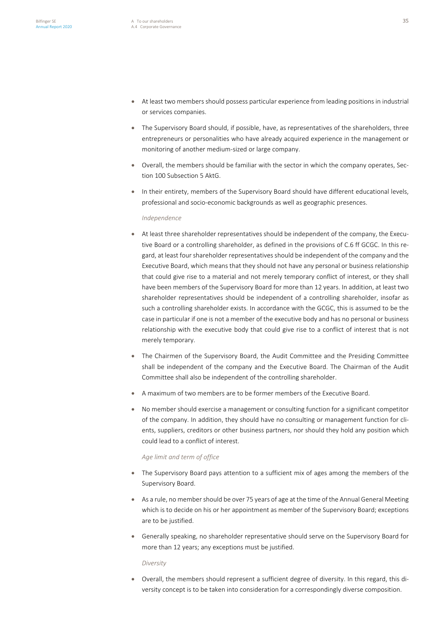- At least two members should possess particular experience from leading positions in industrial or services companies.
- The Supervisory Board should, if possible, have, as representatives of the shareholders, three entrepreneurs or personalities who have already acquired experience in the management or monitoring of another medium-sized or large company.
- Overall, the members should be familiar with the sector in which the company operates, Section 100 Subsection 5 AktG.
- In their entirety, members of the Supervisory Board should have different educational levels, professional and socio-economic backgrounds as well as geographic presences.

#### *Independence*

- At least three shareholder representatives should be independent of the company, the Executive Board or a controlling shareholder, as defined in the provisions of C.6 ff GCGC. In this regard, at least four shareholder representatives should be independent of the company and the Executive Board, which means that they should not have any personal or business relationship that could give rise to a material and not merely temporary conflict of interest, or they shall have been members of the Supervisory Board for more than 12 years. In addition, at least two shareholder representatives should be independent of a controlling shareholder, insofar as such a controlling shareholder exists. In accordance with the GCGC, this is assumed to be the case in particular if one is not a member of the executive body and has no personal or business relationship with the executive body that could give rise to a conflict of interest that is not merely temporary.
- The Chairmen of the Supervisory Board, the Audit Committee and the Presiding Committee shall be independent of the company and the Executive Board. The Chairman of the Audit Committee shall also be independent of the controlling shareholder.
- A maximum of two members are to be former members of the Executive Board.
- No member should exercise a management or consulting function for a significant competitor of the company. In addition, they should have no consulting or management function for clients, suppliers, creditors or other business partners, nor should they hold any position which could lead to a conflict of interest.

#### *Age limit and term of office*

- The Supervisory Board pays attention to a sufficient mix of ages among the members of the Supervisory Board.
- As a rule, no member should be over 75 years of age at the time of the Annual General Meeting which is to decide on his or her appointment as member of the Supervisory Board; exceptions are to be justified.
- Generally speaking, no shareholder representative should serve on the Supervisory Board for more than 12 years; any exceptions must be justified.

#### *Diversity*

• Overall, the members should represent a sufficient degree of diversity. In this regard, this diversity concept is to be taken into consideration for a correspondingly diverse composition.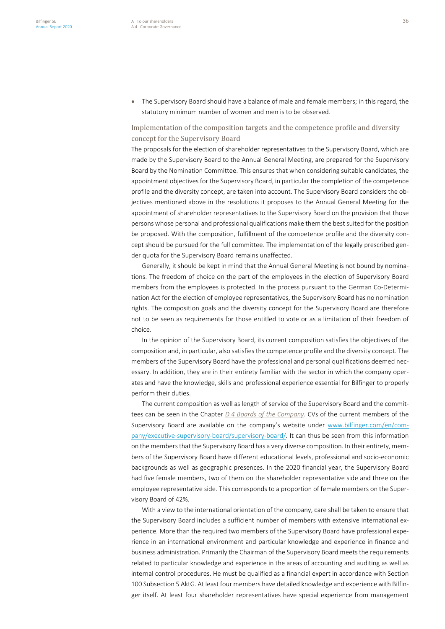• The Supervisory Board should have a balance of male and female members; in this regard, the statutory minimum number of women and men is to be observed.

# Implementation of the composition targets and the competence profile and diversity concept for the Supervisory Board

The proposals for the election of shareholder representatives to the Supervisory Board, which are made by the Supervisory Board to the Annual General Meeting, are prepared for the Supervisory Board by the Nomination Committee. This ensures that when considering suitable candidates, the appointment objectives for the Supervisory Board, in particular the completion of the competence profile and the diversity concept, are taken into account. The Supervisory Board considers the objectives mentioned above in the resolutions it proposes to the Annual General Meeting for the appointment of shareholder representatives to the Supervisory Board on the provision that those persons whose personal and professional qualifications make them the best suited for the position be proposed. With the composition, fulfillment of the competence profile and the diversity concept should be pursued for the full committee. The implementation of the legally prescribed gender quota for the Supervisory Board remains unaffected.

Generally, it should be kept in mind that the Annual General Meeting is not bound by nominations. The freedom of choice on the part of the employees in the election of Supervisory Board members from the employees is protected. In the process pursuant to the German Co-Determination Act for the election of employee representatives, the Supervisory Board has no nomination rights. The composition goals and the diversity concept for the Supervisory Board are therefore not to be seen as requirements for those entitled to vote or as a limitation of their freedom of choice.

In the opinion of the Supervisory Board, its current composition satisfies the objectives of the composition and, in particular, also satisfies the competence profile and the diversity concept. The members of the Supervisory Board have the professional and personal qualifications deemed necessary. In addition, they are in their entirety familiar with the sector in which the company operates and have the knowledge, skills and professional experience essential for Bilfinger to properly perform their duties.

The current composition as well as length of service of the Supervisory Board and the committees can be seen in the Chapter *D.4 Boards of the Company*. CVs of the current members of the Supervisory Board are available on the company's website under www.bilfinger.com/en/company/executive-supervisory-board/supervisory-board/. It can thus be seen from this information on the members that the Supervisory Board has a very diverse composition. In their entirety, members of the Supervisory Board have different educational levels, professional and socio-economic backgrounds as well as geographic presences. In the 2020 financial year, the Supervisory Board had five female members, two of them on the shareholder representative side and three on the employee representative side. This corresponds to a proportion of female members on the Supervisory Board of 42%.

With a view to the international orientation of the company, care shall be taken to ensure that the Supervisory Board includes a sufficient number of members with extensive international experience. More than the required two members of the Supervisory Board have professional experience in an international environment and particular knowledge and experience in finance and business administration. Primarily the Chairman of the Supervisory Board meets the requirements related to particular knowledge and experience in the areas of accounting and auditing as well as internal control procedures. He must be qualified as a financial expert in accordance with Section 100 Subsection 5 AktG. At least four members have detailed knowledge and experience with Bilfinger itself. At least four shareholder representatives have special experience from management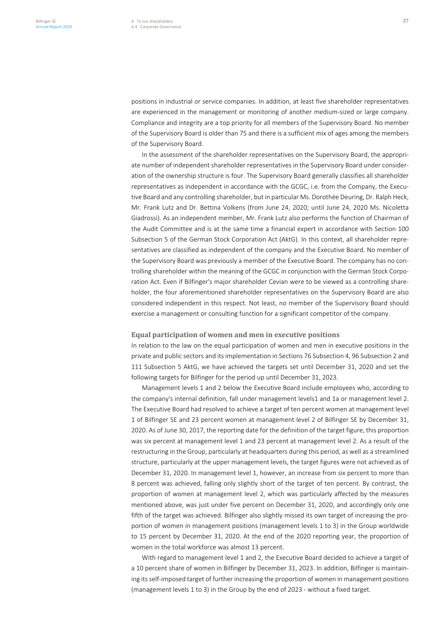positions in industrial or service companies. In addition, at least five shareholder representatives are experienced in the management or monitoring of another medium-sized or large company. Compliance and integrity are a top priority for all members of the Supervisory Board. No member of the Supervisory Board is older than 75 and there is a sufficient mix of ages among the members of the Supervisory Board.

In the assessment of the shareholder representatives on the Supervisory Board, the appropriate number of independent shareholder representatives in the Supervisory Board under consideration of the ownership structure is four. The Supervisory Board generally classifies all shareholder representatives as independent in accordance with the GCGC, i.e. from the Company, the Executive Board and any controlling shareholder, but in particular Ms. Dorothée Deuring, Dr. Ralph Heck, Mr. Frank Lutz and Dr. Bettina Volkens (from June 24, 2020; until June 24, 2020 Ms. Nicoletta Giadrossi). As an independent member, Mr. Frank Lutz also performs the function of Chairman of the Audit Committee and is at the same time a financial expert in accordance with Section 100 Subsection 5 of the German Stock Corporation Act (AktG). In this context, all shareholder representatives are classified as independent of the company and the Executive Board. No member of the Supervisory Board was previously a member of the Executive Board. The company has no controlling shareholder within the meaning of the GCGC in conjunction with the German Stock Corporation Act. Even if Bilfinger's major shareholder Cevian were to be viewed as a controlling shareholder, the four aforementioned shareholder representatives on the Supervisory Board are also considered independent in this respect. Not least, no member of the Supervisory Board should exercise a management or consulting function for a significant competitor of the company.

#### **Equal participation of women and men in executive positions**

In relation to the law on the equal participation of women and men in executive positions in the private and public sectors and its implementation in Sections 76 Subsection 4, 96 Subsection 2 and 111 Subsection 5 AktG, we have achieved the targets set until December 31, 2020 and set the following targets for Bilfinger for the period up until December 31, 2023.

Management levels 1 and 2 below the Executive Board include employees who, according to the company's internal definition, fall under management levels1 and 1a or management level 2. The Executive Board had resolved to achieve a target of ten percent women at management level 1 of Bilfinger SE and 23 percent women at management level 2 of Bilfinger SE by December 31, 2020. As of June 30, 2017, the reporting date for the definition of the target figure, this proportion was six percent at management level 1 and 23 percent at management level 2. As a result of the restructuring in the Group, particularly at headquarters during this period, as well as a streamlined structure, particularly at the upper management levels, the target figures were not achieved as of December 31, 2020. In management level 1, however, an increase from six percent to more than 8 percent was achieved, falling only slightly short of the target of ten percent. By contrast, the proportion of women at management level 2, which was particularly affected by the measures mentioned above, was just under five percent on December 31, 2020, and accordingly only one fifth of the target was achieved. Bilfinger also slightly missed its own target of increasing the proportion of women in management positions (management levels 1 to 3) in the Group worldwide to 15 percent by December 31, 2020. At the end of the 2020 reporting year, the proportion of women in the total workforce was almost 13 percent.

With regard to management level 1 and 2, the Executive Board decided to achieve a target of a 10 percent share of women in Bilfinger by December 31, 2023. In addition, Bilfinger is maintaining its self-imposed target of further increasing the proportion of women in management positions (management levels 1 to 3) in the Group by the end of 2023 - without a fixed target.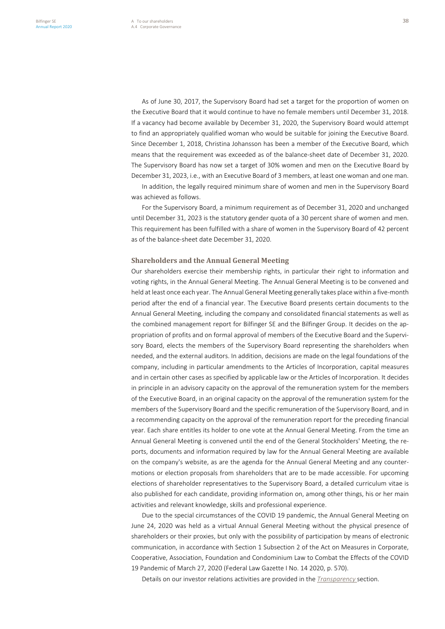As of June 30, 2017, the Supervisory Board had set a target for the proportion of women on the Executive Board that it would continue to have no female members until December 31, 2018. If a vacancy had become available by December 31, 2020, the Supervisory Board would attempt to find an appropriately qualified woman who would be suitable for joining the Executive Board. Since December 1, 2018, Christina Johansson has been a member of the Executive Board, which means that the requirement was exceeded as of the balance-sheet date of December 31, 2020. The Supervisory Board has now set a target of 30% women and men on the Executive Board by December 31, 2023, i.e., with an Executive Board of 3 members, at least one woman and one man.

In addition, the legally required minimum share of women and men in the Supervisory Board was achieved as follows.

For the Supervisory Board, a minimum requirement as of December 31, 2020 and unchanged until December 31, 2023 is the statutory gender quota of a 30 percent share of women and men. This requirement has been fulfilled with a share of women in the Supervisory Board of 42 percent as of the balance-sheet date December 31, 2020.

#### **Shareholders and the Annual General Meeting**

Our shareholders exercise their membership rights, in particular their right to information and voting rights, in the Annual General Meeting. The Annual General Meeting is to be convened and held at least once each year. The Annual General Meeting generally takes place within a five-month period after the end of a financial year. The Executive Board presents certain documents to the Annual General Meeting, including the company and consolidated financial statements as well as the combined management report for Bilfinger SE and the Bilfinger Group. It decides on the appropriation of profits and on formal approval of members of the Executive Board and the Supervisory Board, elects the members of the Supervisory Board representing the shareholders when needed, and the external auditors. In addition, decisions are made on the legal foundations of the company, including in particular amendments to the Articles of Incorporation, capital measures and in certain other cases as specified by applicable law or the Articles of Incorporation. It decides in principle in an advisory capacity on the approval of the remuneration system for the members of the Executive Board, in an original capacity on the approval of the remuneration system for the members of the Supervisory Board and the specific remuneration of the Supervisory Board, and in a recommending capacity on the approval of the remuneration report for the preceding financial year. Each share entitles its holder to one vote at the Annual General Meeting. From the time an Annual General Meeting is convened until the end of the General Stockholders' Meeting, the reports, documents and information required by law for the Annual General Meeting are available on the company's website, as are the agenda for the Annual General Meeting and any countermotions or election proposals from shareholders that are to be made accessible. For upcoming elections of shareholder representatives to the Supervisory Board, a detailed curriculum vitae is also published for each candidate, providing information on, among other things, his or her main activities and relevant knowledge, skills and professional experience.

Due to the special circumstances of the COVID 19 pandemic, the Annual General Meeting on June 24, 2020 was held as a virtual Annual General Meeting without the physical presence of shareholders or their proxies, but only with the possibility of participation by means of electronic communication, in accordance with Section 1 Subsection 2 of the Act on Measures in Corporate, Cooperative, Association, Foundation and Condominium Law to Combat the Effects of the COVID 19 Pandemic of March 27, 2020 (Federal Law Gazette I No. 14 2020, p. 570).

Details on our investor relations activities are provided in the *Transparency* section.